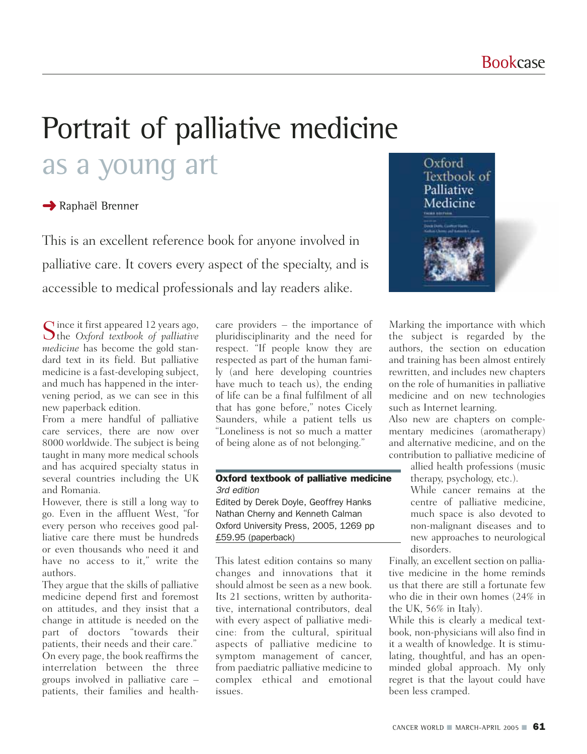# Portrait of palliative medicine as a young art

## **→ Raphaël Brenner**

This is an excellent reference book for anyone involved in palliative care. It covers every aspect of the specialty, and is accessible to medical professionals and lay readers alike.

Since it first appeared 12 years ago, the *Oxford textbook of palliative medicine* has become the gold standard text in its field. But palliative medicine is a fast-developing subject, and much has happened in the intervening period, as we can see in this new paperback edition.

From a mere handful of palliative care services, there are now over 8000 worldwide. The subject is being taught in many more medical schools and has acquired specialty status in several countries including the UK and Romania.

However, there is still a long way to go. Even in the affluent West, "for every person who receives good palliative care there must be hundreds or even thousands who need it and have no access to it," write the authors.

They argue that the skills of palliative medicine depend first and foremost on attitudes, and they insist that a change in attitude is needed on the part of doctors "towards their patients, their needs and their care." On every page, the book reaffirms the interrelation between the three groups involved in palliative care – patients, their families and healthcare providers – the importance of pluridisciplinarity and the need for respect. "If people know they are respected as part of the human family (and here developing countries have much to teach us), the ending of life can be a final fulfilment of all that has gone before," notes Cicely Saunders, while a patient tells us "Loneliness is not so much a matter of being alone as of not belonging."

### Oxford textbook of palliative medicine *3rd edition*

Edited by Derek Doyle, Geoffrey Hanks Nathan Cherny and Kenneth Calman Oxford University Press, 2005, 1269 pp £59.95 (paperback)

This latest edition contains so many changes and innovations that it should almost be seen as a new book. Its 21 sections, written by authoritative, international contributors, deal with every aspect of palliative medicine: from the cultural, spiritual aspects of palliative medicine to symptom management of cancer, from paediatric palliative medicine to complex ethical and emotional issues.



Marking the importance with which the subject is regarded by the authors, the section on education and training has been almost entirely rewritten, and includes new chapters on the role of humanities in palliative medicine and on new technologies such as Internet learning.

Also new are chapters on complementary medicines (aromatherapy) and alternative medicine, and on the contribution to palliative medicine of

allied health professions (music therapy, psychology, etc.).

While cancer remains at the centre of palliative medicine, much space is also devoted to non-malignant diseases and to new approaches to neurological disorders.

Finally, an excellent section on palliative medicine in the home reminds us that there are still a fortunate few who die in their own homes (24% in the UK, 56% in Italy).

While this is clearly a medical textbook, non-physicians will also find in it a wealth of knowledge. It is stimulating, thoughtful, and has an openminded global approach. My only regret is that the layout could have been less cramped.